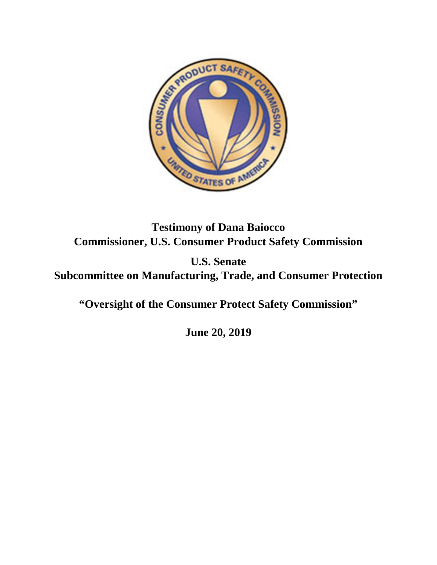

**Testimony of Dana Baiocco Commissioner, U.S. Consumer Product Safety Commission**

**U.S. Senate Subcommittee on Manufacturing, Trade, and Consumer Protection** 

**"Oversight of the Consumer Protect Safety Commission"**

**June 20, 2019**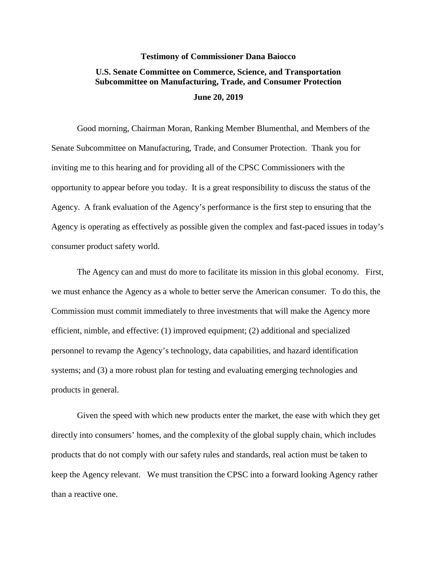## **Testimony of Commissioner Dana Baiocco U.S. Senate Committee on Commerce, Science, and Transportation Subcommittee on Manufacturing, Trade, and Consumer Protection June 20, 2019**

Good morning, Chairman Moran, Ranking Member Blumenthal, and Members of the Senate Subcommittee on Manufacturing, Trade, and Consumer Protection. Thank you for inviting me to this hearing and for providing all of the CPSC Commissioners with the opportunity to appear before you today. It is a great responsibility to discuss the status of the Agency. A frank evaluation of the Agency's performance is the first step to ensuring that the Agency is operating as effectively as possible given the complex and fast-paced issues in today's consumer product safety world.

The Agency can and must do more to facilitate its mission in this global economy. First, we must enhance the Agency as a whole to better serve the American consumer. To do this, the Commission must commit immediately to three investments that will make the Agency more efficient, nimble, and effective: (1) improved equipment; (2) additional and specialized personnel to revamp the Agency's technology, data capabilities, and hazard identification systems; and (3) a more robust plan for testing and evaluating emerging technologies and products in general.

Given the speed with which new products enter the market, the ease with which they get directly into consumers' homes, and the complexity of the global supply chain, which includes products that do not comply with our safety rules and standards, real action must be taken to keep the Agency relevant. We must transition the CPSC into a forward looking Agency rather than a reactive one.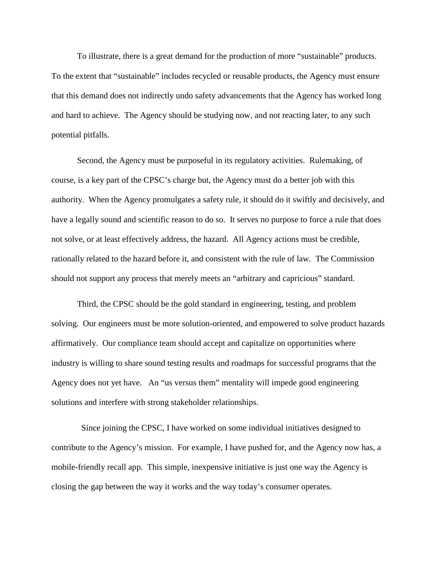To illustrate, there is a great demand for the production of more "sustainable" products. To the extent that "sustainable" includes recycled or reusable products, the Agency must ensure that this demand does not indirectly undo safety advancements that the Agency has worked long and hard to achieve. The Agency should be studying now, and not reacting later, to any such potential pitfalls.

Second, the Agency must be purposeful in its regulatory activities. Rulemaking, of course, is a key part of the CPSC's charge but, the Agency must do a better job with this authority. When the Agency promulgates a safety rule, it should do it swiftly and decisively, and have a legally sound and scientific reason to do so. It serves no purpose to force a rule that does not solve, or at least effectively address, the hazard. All Agency actions must be credible, rationally related to the hazard before it, and consistent with the rule of law. The Commission should not support any process that merely meets an "arbitrary and capricious" standard.

Third, the CPSC should be the gold standard in engineering, testing, and problem solving. Our engineers must be more solution-oriented, and empowered to solve product hazards affirmatively. Our compliance team should accept and capitalize on opportunities where industry is willing to share sound testing results and roadmaps for successful programs that the Agency does not yet have. An "us versus them" mentality will impede good engineering solutions and interfere with strong stakeholder relationships.

 Since joining the CPSC, I have worked on some individual initiatives designed to contribute to the Agency's mission. For example, I have pushed for, and the Agency now has, a mobile-friendly recall app. This simple, inexpensive initiative is just one way the Agency is closing the gap between the way it works and the way today's consumer operates.